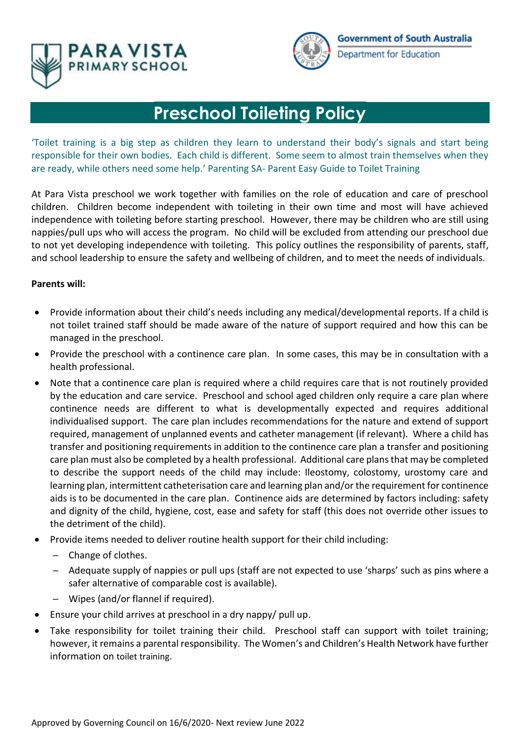



# **Preschool Toileting Policy**

'Toilet training is a big step as children they learn to understand their body's signals and start being responsible for their own bodies. Each child is different. Some seem to almost train themselves when they are ready, while others need some help.' Parenting SA- Parent Easy Guide to Toilet Training

At Para Vista preschool we work together with families on the role of education and care of preschool children. Children become independent with toileting in their own time and most will have achieved independence with toileting before starting preschool. However, there may be children who are still using nappies/pull ups who will access the program. No child will be excluded from attending our preschool due to not yet developing independence with toileting. This policy outlines the responsibility of parents, staff, and school leadership to ensure the safety and wellbeing of children, and to meet the needs of individuals.

#### **Parents will:**

- Provide information about their child's needs including any medical/developmental reports. If a child is not toilet trained staff should be made aware of the nature of support required and how this can be managed in the preschool.
- Provide the preschool with a continence care plan. In some cases, this may be in consultation with a health professional.
- Note that a continence care plan is required where a child requires care that is not routinely provided by the education and care service. Preschool and school aged children only require a care plan where continence needs are different to what is developmentally expected and requires additional individualised support. The care plan includes recommendations for the nature and extend of support required, management of unplanned events and catheter management (if relevant). Where a child has transfer and positioning requirements in addition to the continence care plan a transfer and positioning care plan must also be completed by a health professional. Additional care plans that may be completed to describe the support needs of the child may include: Ileostomy, colostomy, urostomy care and learning plan, intermittent catheterisation care and learning plan and/or the requirement for continence aids is to be documented in the care plan. Continence aids are determined by factors including: safety and dignity of the child, hygiene, cost, ease and safety for staff (this does not override other issues to the detriment of the child).
- Provide items needed to deliver routine health support for their child including:
	- ─ Change of clothes.
	- ─ Adequate supply of nappies or pull ups (staff are not expected to use 'sharps' such as pins where a safer alternative of comparable cost is available).
	- ─ Wipes (and/or flannel if required).
- Ensure your child arrives at preschool in a dry nappy/ pull up.
- Take responsibility for toilet training their child. Preschool staff can support with toilet training; however, it remains a parental responsibility. The Women's and Children's Health Network have further information on [toilet training](http://www.cyh.com/HealthTopics/HealthTopicDetails.aspx?p=114&np=122&id=1837).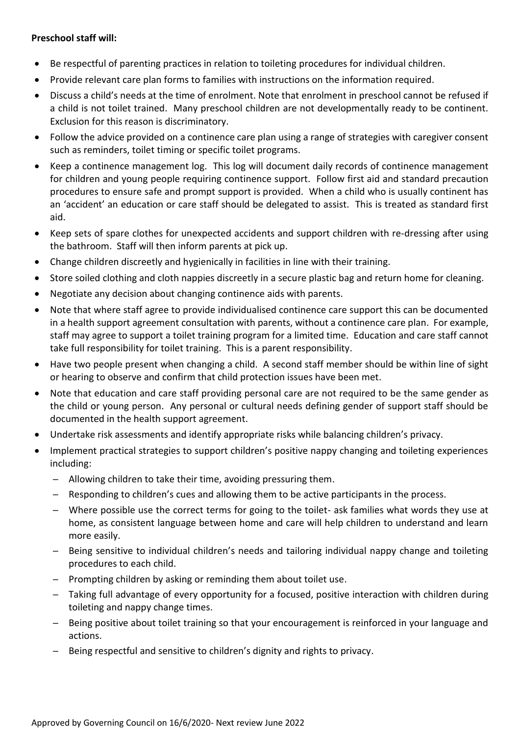## **Preschool staff will:**

- Be respectful of parenting practices in relation to toileting procedures for individual children.
- Provide relevant care plan forms to families with instructions on the information required.
- Discuss a child's needs at the time of enrolment. Note that enrolment in preschool cannot be refused if a child is not toilet trained. Many preschool children are not developmentally ready to be continent. Exclusion for this reason is discriminatory.
- Follow the advice provided on a continence care plan using a range of strategies with caregiver consent such as reminders, toilet timing or specific toilet programs.
- Keep a continence management log. This log will document daily records of continence management for children and young people requiring continence support. Follow first aid and standard precaution procedures to ensure safe and prompt support is provided. When a child who is usually continent has an 'accident' an education or care staff should be delegated to assist. This is treated as standard first aid.
- Keep sets of spare clothes for unexpected accidents and support children with re-dressing after using the bathroom. Staff will then inform parents at pick up.
- Change children discreetly and hygienically in facilities in line with their training.
- Store soiled clothing and cloth nappies discreetly in a secure plastic bag and return home for cleaning.
- Negotiate any decision about changing continence aids with parents.
- Note that where staff agree to provide individualised continence care support this can be documented in a health support agreement consultation with parents, without a continence care plan. For example, staff may agree to support a toilet training program for a limited time. Education and care staff cannot take full responsibility for toilet training. This is a parent responsibility.
- Have two people present when changing a child. A second staff member should be within line of sight or hearing to observe and confirm that child protection issues have been met.
- Note that education and care staff providing personal care are not required to be the same gender as the child or young person. Any personal or cultural needs defining gender of support staff should be documented in the health support agreement.
- Undertake risk assessments and identify appropriate risks while balancing children's privacy.
- Implement practical strategies to support children's positive nappy changing and toileting experiences including:
	- ─ Allowing children to take their time, avoiding pressuring them.
	- $-$  Responding to children's cues and allowing them to be active participants in the process.
	- ─ Where possible use the correct terms for going to the toilet- ask families what words they use at home, as consistent language between home and care will help children to understand and learn more easily.
	- ─ Being sensitive to individual children's needs and tailoring individual nappy change and toileting procedures to each child.
	- $-$  Prompting children by asking or reminding them about toilet use.
	- ─ Taking full advantage of every opportunity for a focused, positive interaction with children during toileting and nappy change times.
	- ─ Being positive about toilet training so that your encouragement is reinforced in your language and actions.
	- Being respectful and sensitive to children's dignity and rights to privacy.